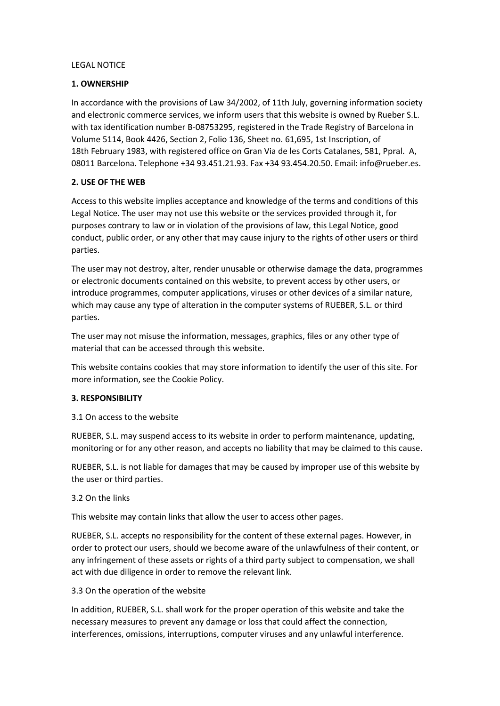#### LEGAL NOTICE

## **1. OWNERSHIP**

In accordance with the provisions of Law 34/2002, of 11th July, governing information society and electronic commerce services, we inform users that this website is owned by Rueber S.L. with tax identification number B-08753295, registered in the Trade Registry of Barcelona in Volume 5114, Book 4426, Section 2, Folio 136, Sheet no. 61,695, 1st Inscription, of 18th February 1983, with registered office on Gran Via de les Corts Catalanes, 581, Ppral. A, 08011 Barcelona. Telephone +34 93.451.21.93. Fax +34 93.454.20.50. Email: info@rueber.es.

# **2. USE OF THE WEB**

Access to this website implies acceptance and knowledge of the terms and conditions of this Legal Notice. The user may not use this website or the services provided through it, for purposes contrary to law or in violation of the provisions of law, this Legal Notice, good conduct, public order, or any other that may cause injury to the rights of other users or third parties.

The user may not destroy, alter, render unusable or otherwise damage the data, programmes or electronic documents contained on this website, to prevent access by other users, or introduce programmes, computer applications, viruses or other devices of a similar nature, which may cause any type of alteration in the computer systems of RUEBER, S.L. or third parties.

The user may not misuse the information, messages, graphics, files or any other type of material that can be accessed through this website.

This website contains cookies that may store information to identify the user of this site. For more information, see the Cookie Policy.

#### **3. RESPONSIBILITY**

3.1 On access to the website

RUEBER, S.L. may suspend access to its website in order to perform maintenance, updating, monitoring or for any other reason, and accepts no liability that may be claimed to this cause.

RUEBER, S.L. is not liable for damages that may be caused by improper use of this website by the user or third parties.

#### 3.2 On the links

This website may contain links that allow the user to access other pages.

RUEBER, S.L. accepts no responsibility for the content of these external pages. However, in order to protect our users, should we become aware of the unlawfulness of their content, or any infringement of these assets or rights of a third party subject to compensation, we shall act with due diligence in order to remove the relevant link.

#### 3.3 On the operation of the website

In addition, RUEBER, S.L. shall work for the proper operation of this website and take the necessary measures to prevent any damage or loss that could affect the connection, interferences, omissions, interruptions, computer viruses and any unlawful interference.